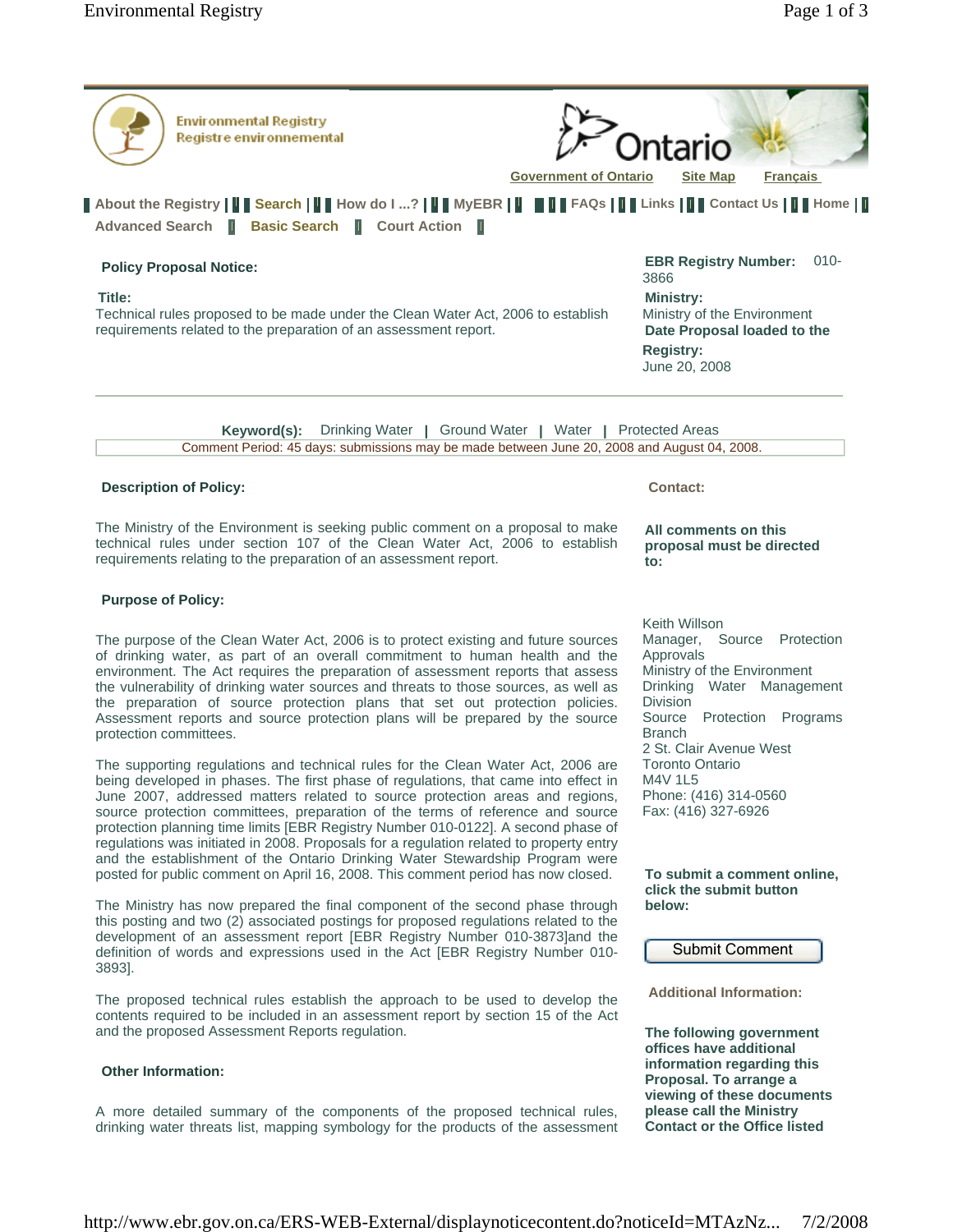| <b>Environmental Registry</b><br>Registre environnemental<br><b>Government of Ontario</b>                                                                                                                                           | ntario<br><b>Francais</b><br><b>Site Map</b>                                                                                                         |
|-------------------------------------------------------------------------------------------------------------------------------------------------------------------------------------------------------------------------------------|------------------------------------------------------------------------------------------------------------------------------------------------------|
| About the Registry       Search       How do I ?       MyEBR             FAQs       Links       Contact Us         Home                                                                                                             |                                                                                                                                                      |
| Advanced Search   Basic Search   Court Action<br>ш                                                                                                                                                                                  |                                                                                                                                                      |
| <b>Policy Proposal Notice:</b><br>Title:<br>Technical rules proposed to be made under the Clean Water Act, 2006 to establish<br>requirements related to the preparation of an assessment report.                                    | $010 -$<br><b>EBR Registry Number:</b><br>3866<br><b>Ministry:</b><br>Ministry of the Environment<br>Date Proposal loaded to the<br><b>Registry:</b> |
|                                                                                                                                                                                                                                     | June 20, 2008                                                                                                                                        |
| Drinking Water   Ground Water   Water  <br>Keyword(s):<br>Comment Period: 45 days: submissions may be made between June 20, 2008 and August 04, 2008.                                                                               | <b>Protected Areas</b>                                                                                                                               |
| <b>Description of Policy:</b>                                                                                                                                                                                                       | <b>Contact:</b>                                                                                                                                      |
| The Ministry of the Environment is seeking public comment on a proposal to make<br>technical rules under section 107 of the Clean Water Act, 2006 to establish<br>requirements relating to the preparation of an assessment report. | All comments on this<br>proposal must be directed<br>to:                                                                                             |

# **Purpose of Policy:**

The purpose of the Clean Water Act, 2006 is to protect existing and future sources of drinking water, as part of an overall commitment to human health and the environment. The Act requires the preparation of assessment reports that assess the vulnerability of drinking water sources and threats to those sources, as well as the preparation of source protection plans that set out protection policies. Assessment reports and source protection plans will be prepared by the source protection committees.

The supporting regulations and technical rules for the Clean Water Act, 2006 are being developed in phases. The first phase of regulations, that came into effect in June 2007, addressed matters related to source protection areas and regions, source protection committees, preparation of the terms of reference and source protection planning time limits [EBR Registry Number 010-0122]. A second phase of regulations was initiated in 2008. Proposals for a regulation related to property entry and the establishment of the Ontario Drinking Water Stewardship Program were posted for public comment on April 16, 2008. This comment period has now closed.

The Ministry has now prepared the final component of the second phase through this posting and two (2) associated postings for proposed regulations related to the development of an assessment report [EBR Registry Number 010-3873]and the definition of words and expressions used in the Act [EBR Registry Number 010- 3893].

The proposed technical rules establish the approach to be used to develop the contents required to be included in an assessment report by section 15 of the Act and the proposed Assessment Reports regulation.

#### **Other Information:**

A more detailed summary of the components of the proposed technical rules, drinking water threats list, mapping symbology for the products of the assessment **to:** 

Keith Willson Manager, Source Protection Approvals Ministry of the Environment Drinking Water Management Division Source Protection Programs Branch 2 St. Clair Avenue West Toronto Ontario M4V 1L5 Phone: (416) 314-0560 Fax: (416) 327-6926

#### **To submit a comment online, click the submit button below:**

Submit Comment

**Additional Information:** 

**The following government offices have additional information regarding this Proposal. To arrange a viewing of these documents please call the Ministry Contact or the Office listed**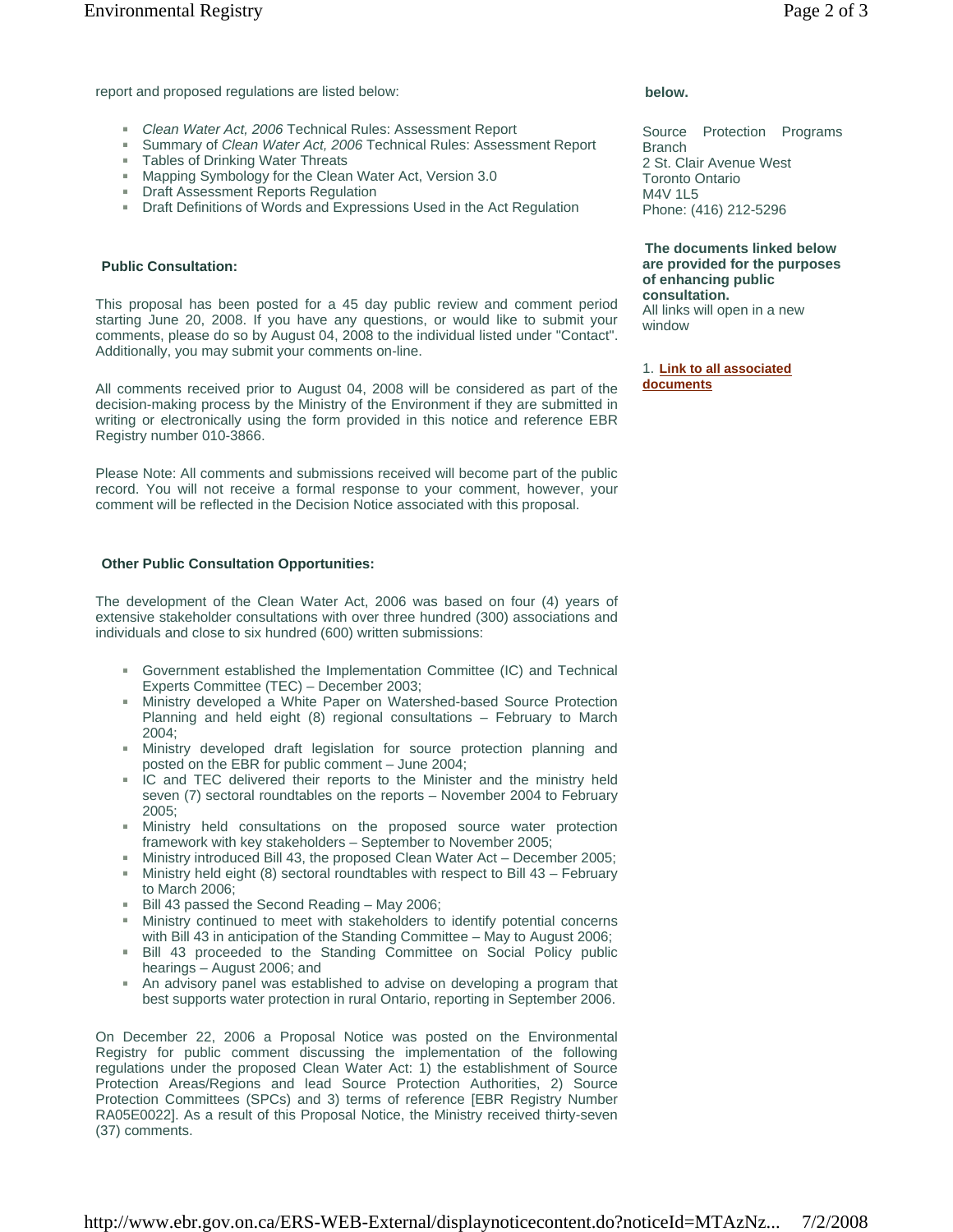report and proposed regulations are listed below:

- *Clean Water Act, 2006* Technical Rules: Assessment Report
- Summary of *Clean Water Act, 2006* Technical Rules: Assessment Report
- **Tables of Drinking Water Threats**
- Mapping Symbology for the Clean Water Act, Version 3.0
- **Draft Assessment Reports Regulation**
- Draft Definitions of Words and Expressions Used in the Act Regulation

### **Public Consultation:**

This proposal has been posted for a 45 day public review and comment period starting June 20, 2008. If you have any questions, or would like to submit your comments, please do so by August 04, 2008 to the individual listed under "Contact". Additionally, you may submit your comments on-line.

All comments received prior to August 04, 2008 will be considered as part of the decision-making process by the Ministry of the Environment if they are submitted in writing or electronically using the form provided in this notice and reference EBR Registry number 010-3866.

Please Note: All comments and submissions received will become part of the public record. You will not receive a formal response to your comment, however, your comment will be reflected in the Decision Notice associated with this proposal.

## **Other Public Consultation Opportunities:**

The development of the Clean Water Act, 2006 was based on four (4) years of extensive stakeholder consultations with over three hundred (300) associations and individuals and close to six hundred (600) written submissions:

- Government established the Implementation Committee (IC) and Technical Experts Committee (TEC) – December 2003;
- Ministry developed a White Paper on Watershed-based Source Protection Planning and held eight (8) regional consultations – February to March 2004;
- $\mathbf{m}$  . Ministry developed draft legislation for source protection planning and posted on the EBR for public comment – June 2004;
- IC and TEC delivered their reports to the Minister and the ministry held seven (7) sectoral roundtables on the reports – November 2004 to February 2005;
- $\mathbf{m}$  . Ministry held consultations on the proposed source water protection framework with key stakeholders – September to November 2005;
- Ministry introduced Bill 43, the proposed Clean Water Act December 2005;
- Ministry held eight (8) sectoral roundtables with respect to Bill 43 February to March 2006;
- Bill 43 passed the Second Reading May 2006;
- Ministry continued to meet with stakeholders to identify potential concerns with Bill 43 in anticipation of the Standing Committee – May to August 2006;
- Bill 43 proceeded to the Standing Committee on Social Policy public hearings – August 2006; and
- An advisory panel was established to advise on developing a program that best supports water protection in rural Ontario, reporting in September 2006.

On December 22, 2006 a Proposal Notice was posted on the Environmental Registry for public comment discussing the implementation of the following regulations under the proposed Clean Water Act: 1) the establishment of Source Protection Areas/Regions and lead Source Protection Authorities, 2) Source Protection Committees (SPCs) and 3) terms of reference [EBR Registry Number RA05E0022]. As a result of this Proposal Notice, the Ministry received thirty-seven (37) comments.

# **below.**

Source Protection Programs Branch 2 St. Clair Avenue West Toronto Ontario M4V 1L5 Phone: (416) 212-5296

**The documents linked below are provided for the purposes of enhancing public consultation.**  All links will open in a new window

1. **Link to all associated documents**